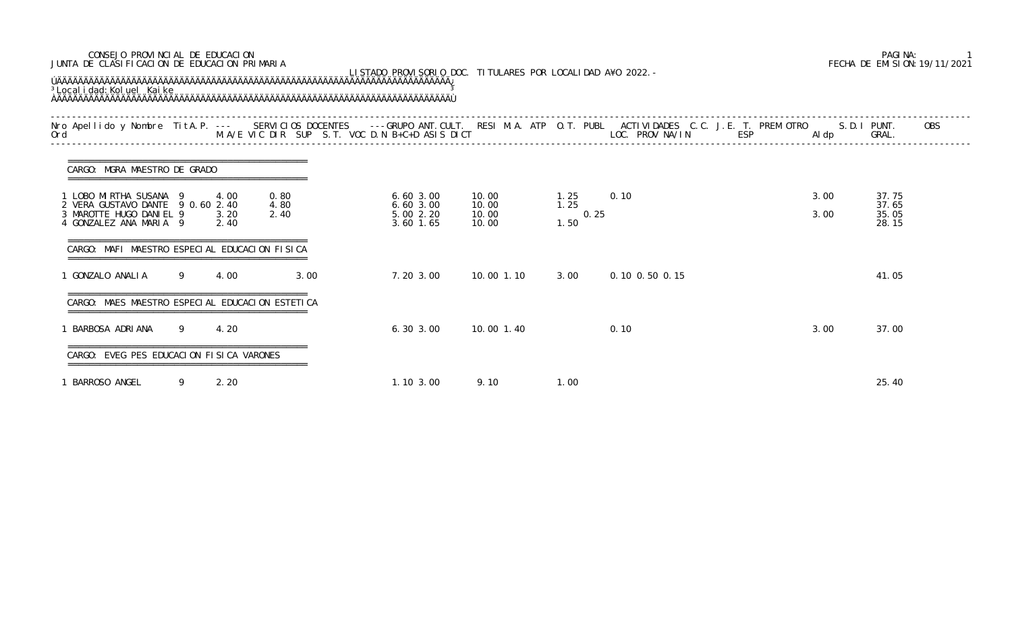| JUNTA DE CLASIFICACION DE EDUCACION PRIMARIA<br>LISTADO PROVISORIO DOC. TITULARES POR LOCALIDAD A¥O 2022. -<br><sup>3</sup> Local i dad: Kol uel Kai ke |   |                      |                      |      |                                                |                                  |                              |                |              | FECHA DE EMISION: 19/11/2021     |  |
|---------------------------------------------------------------------------------------------------------------------------------------------------------|---|----------------------|----------------------|------|------------------------------------------------|----------------------------------|------------------------------|----------------|--------------|----------------------------------|--|
|                                                                                                                                                         |   |                      |                      |      |                                                |                                  |                              |                |              | <b>OBS</b>                       |  |
| CARGO: MGRA MAESTRO DE GRADO                                                                                                                            |   |                      |                      |      |                                                |                                  |                              |                |              |                                  |  |
| 1 LOBO MIRTHA SUSANA 9<br>2 VERA GUSTAVO DANTE 9 0.60 2.40<br>3 MAROTTE HUGO DANIEL 9<br>4 GONZALEZ ANA MARIA 9                                         |   | 4.00<br>3.20<br>2.40 | 0.80<br>4.80<br>2.40 |      | 6.603.00<br>6.603.00<br>5.00 2.20<br>3.60 1.65 | 10.00<br>10.00<br>10.00<br>10.00 | 1.25<br>1.25<br>0.25<br>1.50 | 0.10           | 3.00<br>3.00 | 37.75<br>37.65<br>35.05<br>28.15 |  |
| CARGO: MAFI MAESTRO ESPECIAL EDUCACION FISICA                                                                                                           |   |                      |                      |      |                                                |                                  |                              |                |              |                                  |  |
| 1 GONZALO ANALIA                                                                                                                                        | 9 | 4.00                 |                      | 3.00 | 7.20 3.00                                      | 10,00 1,10                       | 3.00                         | 0.10 0.50 0.15 |              | 41.05                            |  |
| CARGO: MAES MAESTRO ESPECIAL EDUCACION ESTETICA                                                                                                         |   |                      |                      |      |                                                |                                  |                              |                |              |                                  |  |
| 1 BARBOSA ADRIANA                                                                                                                                       | 9 | 4.20                 |                      |      | 6.303.00                                       | 10.00 1.40                       |                              | 0.10           | 3.00         | 37.00                            |  |
| CARGO: EVEG PES EDUCACION FISICA VARONES                                                                                                                |   |                      |                      |      |                                                |                                  |                              |                |              |                                  |  |
| 1 BARROSO ANGEL                                                                                                                                         | 9 | 2.20                 |                      |      | $1.10 \, 3.00$                                 | 9.10                             | 1.00                         |                |              | 25.40                            |  |

## CONSEJO PROVINCIAL DE EDUCACION PAGINA: 1